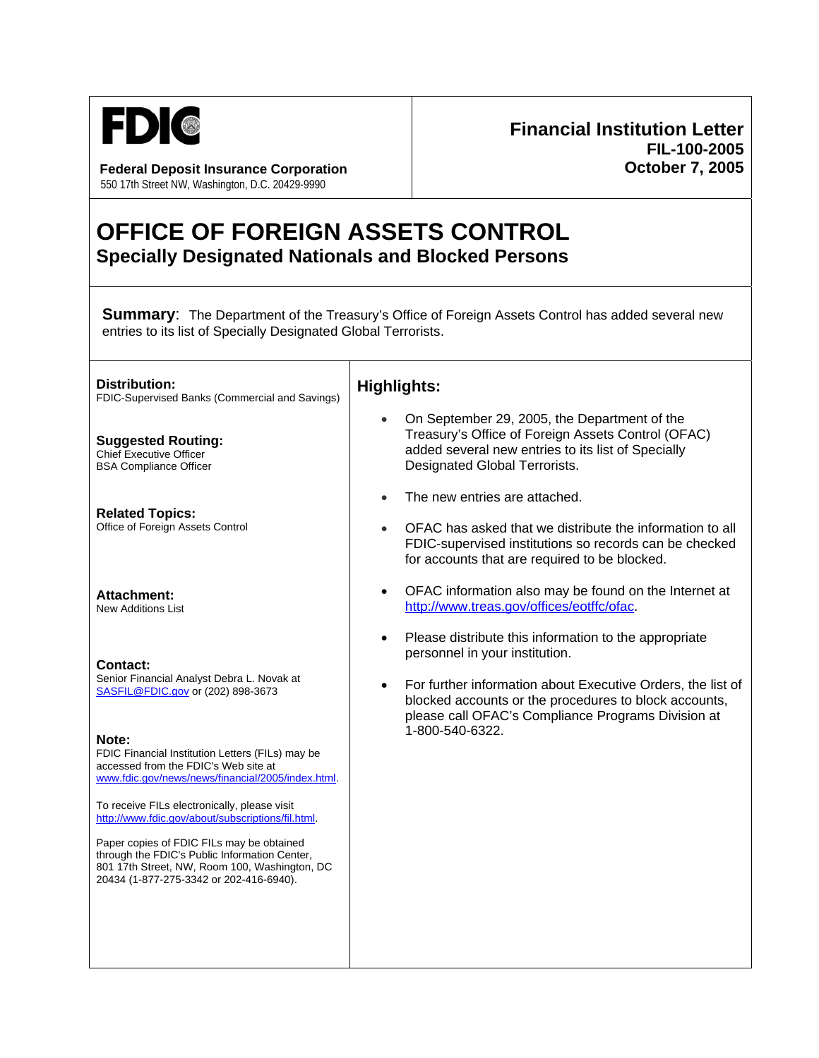

**Federal Deposit Insurance Corporation October 7, 2005** 550 17th Street NW, Washington, D.C. 20429-9990

## **Financial Institution Letter FIL-100-2005**

## **OFFICE OF FOREIGN ASSETS CONTROL Specially Designated Nationals and Blocked Persons**

**Summary:** The Department of the Treasury's Office of Foreign Assets Control has added several new entries to its list of Specially Designated Global Terrorists.

| <b>Distribution:</b><br>FDIC-Supervised Banks (Commercial and Savings)                                                                                                                                                                                                                                                                                                                                                                                                                                                                                      | <b>Highlights:</b>                                                                                                                                                                                                                                                                                                 |
|-------------------------------------------------------------------------------------------------------------------------------------------------------------------------------------------------------------------------------------------------------------------------------------------------------------------------------------------------------------------------------------------------------------------------------------------------------------------------------------------------------------------------------------------------------------|--------------------------------------------------------------------------------------------------------------------------------------------------------------------------------------------------------------------------------------------------------------------------------------------------------------------|
| <b>Suggested Routing:</b><br>Chief Executive Officer<br><b>BSA Compliance Officer</b>                                                                                                                                                                                                                                                                                                                                                                                                                                                                       | On September 29, 2005, the Department of the<br>Treasury's Office of Foreign Assets Control (OFAC)<br>added several new entries to its list of Specially<br>Designated Global Terrorists.                                                                                                                          |
| <b>Related Topics:</b><br>Office of Foreign Assets Control                                                                                                                                                                                                                                                                                                                                                                                                                                                                                                  | The new entries are attached.<br>$\bullet$<br>OFAC has asked that we distribute the information to all<br>FDIC-supervised institutions so records can be checked<br>for accounts that are required to be blocked.                                                                                                  |
| Attachment:<br><b>New Additions List</b>                                                                                                                                                                                                                                                                                                                                                                                                                                                                                                                    | OFAC information also may be found on the Internet at<br>$\bullet$<br>http://www.treas.gov/offices/eotffc/ofac.                                                                                                                                                                                                    |
| <b>Contact:</b><br>Senior Financial Analyst Debra L. Novak at<br>SASFIL@FDIC.gov or (202) 898-3673<br>Note:<br>FDIC Financial Institution Letters (FILs) may be<br>accessed from the FDIC's Web site at<br>www.fdic.gov/news/news/financial/2005/index.html.<br>To receive FILs electronically, please visit<br>http://www.fdic.gov/about/subscriptions/fil.html.<br>Paper copies of FDIC FILs may be obtained<br>through the FDIC's Public Information Center,<br>801 17th Street, NW, Room 100, Washington, DC<br>20434 (1-877-275-3342 or 202-416-6940). | Please distribute this information to the appropriate<br>$\bullet$<br>personnel in your institution.<br>For further information about Executive Orders, the list of<br>$\bullet$<br>blocked accounts or the procedures to block accounts,<br>please call OFAC's Compliance Programs Division at<br>1-800-540-6322. |